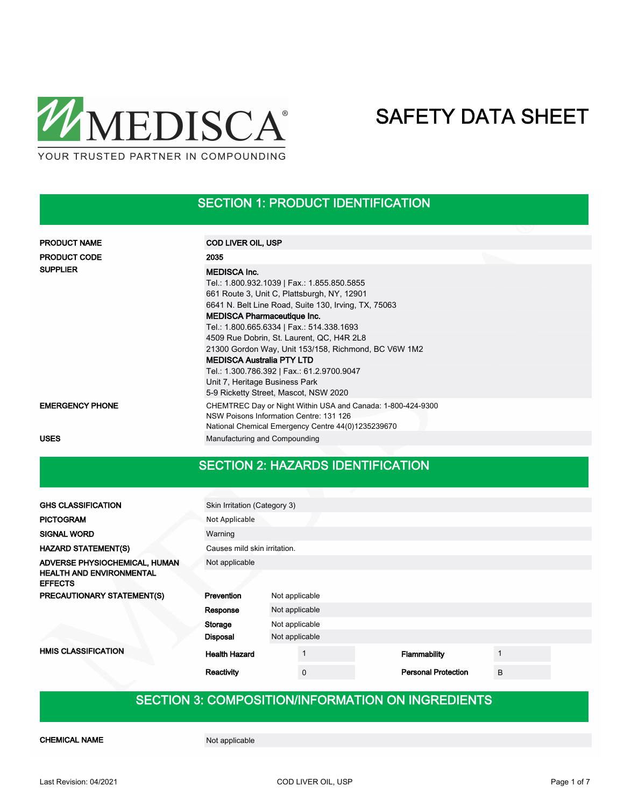

### SECTION 1: PRODUCT IDENTIFICATION

| <b>PRODUCT NAME</b>    | <b>COD LIVER OIL, USP</b>                                                                                                                                                                                                                                                                                                                                                                                                                                                                                                      |
|------------------------|--------------------------------------------------------------------------------------------------------------------------------------------------------------------------------------------------------------------------------------------------------------------------------------------------------------------------------------------------------------------------------------------------------------------------------------------------------------------------------------------------------------------------------|
| <b>PRODUCT CODE</b>    | 2035                                                                                                                                                                                                                                                                                                                                                                                                                                                                                                                           |
| <b>SUPPLIER</b>        | <b>MEDISCA Inc.</b><br>Tel.: 1.800.932.1039   Fax.: 1.855.850.5855<br>661 Route 3, Unit C, Plattsburgh, NY, 12901<br>6641 N. Belt Line Road, Suite 130, Irving, TX, 75063<br><b>MEDISCA Pharmaceutique Inc.</b><br>Tel.: 1.800.665.6334   Fax.: 514.338.1693<br>4509 Rue Dobrin, St. Laurent, QC, H4R 2L8<br>21300 Gordon Way, Unit 153/158, Richmond, BC V6W 1M2<br><b>MEDISCA Australia PTY LTD</b><br>Tel.: 1.300.786.392   Fax.: 61.2.9700.9047<br>Unit 7, Heritage Business Park<br>5-9 Ricketty Street, Mascot, NSW 2020 |
| <b>EMERGENCY PHONE</b> | CHEMTREC Day or Night Within USA and Canada: 1-800-424-9300<br>NSW Poisons Information Centre: 131 126<br>National Chemical Emergency Centre 44(0)1235239670                                                                                                                                                                                                                                                                                                                                                                   |
| <b>USES</b>            | Manufacturing and Compounding                                                                                                                                                                                                                                                                                                                                                                                                                                                                                                  |

### SECTION 2: HAZARDS IDENTIFICATION

| <b>GHS CLASSIFICATION</b>                                        | Skin Irritation (Category 3) |                |                            |   |  |  |  |  |
|------------------------------------------------------------------|------------------------------|----------------|----------------------------|---|--|--|--|--|
| <b>PICTOGRAM</b>                                                 | Not Applicable               |                |                            |   |  |  |  |  |
| <b>SIGNAL WORD</b>                                               | Warning                      |                |                            |   |  |  |  |  |
| <b>HAZARD STATEMENT(S)</b>                                       | Causes mild skin irritation. |                |                            |   |  |  |  |  |
| ADVERSE PHYSIOCHEMICAL, HUMAN<br><b>HEALTH AND ENVIRONMENTAL</b> | Not applicable               |                |                            |   |  |  |  |  |
| <b>EFFECTS</b>                                                   |                              |                |                            |   |  |  |  |  |
| PRECAUTIONARY STATEMENT(S)                                       | Prevention                   | Not applicable |                            |   |  |  |  |  |
|                                                                  | Response                     | Not applicable |                            |   |  |  |  |  |
|                                                                  | Storage                      | Not applicable |                            |   |  |  |  |  |
|                                                                  | <b>Disposal</b>              | Not applicable |                            |   |  |  |  |  |
| <b>HMIS CLASSIFICATION</b>                                       | <b>Health Hazard</b>         |                | Flammability               |   |  |  |  |  |
|                                                                  | Reactivity                   | $\mathbf 0$    | <b>Personal Protection</b> | B |  |  |  |  |

### SECTION 3: COMPOSITION/INFORMATION ON INGREDIENTS

CHEMICAL NAME Not applicable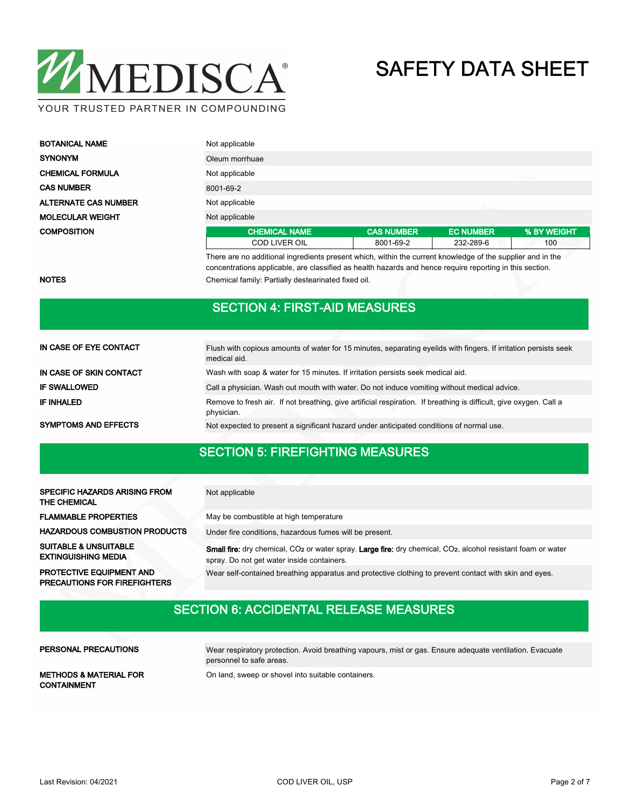

| <b>BOTANICAL NAME</b>       | Not applicable       |                   |                  |             |  |
|-----------------------------|----------------------|-------------------|------------------|-------------|--|
| <b>SYNONYM</b>              | Oleum morrhuae       |                   |                  |             |  |
| <b>CHEMICAL FORMULA</b>     | Not applicable       |                   |                  |             |  |
| <b>CAS NUMBER</b>           | 8001-69-2            |                   |                  |             |  |
| <b>ALTERNATE CAS NUMBER</b> | Not applicable       |                   |                  |             |  |
| <b>MOLECULAR WEIGHT</b>     | Not applicable       |                   |                  |             |  |
| <b>COMPOSITION</b>          | <b>CHEMICAL NAME</b> | <b>CAS NUMBER</b> | <b>EC NUMBER</b> | % BY WEIGHT |  |
|                             | <b>COD LIVER OIL</b> | 8001-69-2         | 232-289-6        | 100         |  |

There are no additional ingredients present which, within the current knowledge of the supplier and in the concentrations applicable, are classified as health hazards and hence require reporting in this section. NOTES **NOTES** Chemical family: Partially destearinated fixed oil.

#### SECTION 4: FIRST-AID MEASURES

| IN CASE OF EYE CONTACT      | Flush with copious amounts of water for 15 minutes, separating eyelids with fingers. If irritation persists seek<br>medical aid. |
|-----------------------------|----------------------------------------------------------------------------------------------------------------------------------|
| IN CASE OF SKIN CONTACT     | Wash with soap & water for 15 minutes. If irritation persists seek medical aid.                                                  |
| <b>IF SWALLOWED</b>         | Call a physician. Wash out mouth with water. Do not induce vomiting without medical advice.                                      |
| <b>IF INHALED</b>           | Remove to fresh air. If not breathing, give artificial respiration. If breathing is difficult, give oxygen. Call a<br>physician. |
| <b>SYMPTOMS AND EFFECTS</b> | Not expected to present a significant hazard under anticipated conditions of normal use.                                         |

## SECTION 5: FIREFIGHTING MEASURES

| SPECIFIC HAZARDS ARISING FROM<br>THE CHEMICAL                          | Not applicable                                                                                                                                                                                    |
|------------------------------------------------------------------------|---------------------------------------------------------------------------------------------------------------------------------------------------------------------------------------------------|
| <b>FLAMMABLE PROPERTIES</b>                                            | May be combustible at high temperature                                                                                                                                                            |
| <b>HAZARDOUS COMBUSTION PRODUCTS</b>                                   | Under fire conditions, hazardous fumes will be present.                                                                                                                                           |
| <b>SUITABLE &amp; UNSUITABLE</b><br><b>EXTINGUISHING MEDIA</b>         | <b>Small fire:</b> dry chemical, CO <sub>2</sub> or water spray. <b>Large fire:</b> dry chemical, CO <sub>2</sub> , alcohol resistant foam or water<br>spray. Do not get water inside containers. |
| <b>PROTECTIVE EQUIPMENT AND</b><br><b>PRECAUTIONS FOR FIREFIGHTERS</b> | Wear self-contained breathing apparatus and protective clothing to prevent contact with skin and eyes.                                                                                            |

#### SECTION 6: ACCIDENTAL RELEASE MEASURES

#### PERSONAL PRECAUTIONS

Wear respiratory protection. Avoid breathing vapours, mist or gas. Ensure adequate ventilation. Evacuate personnel to safe areas.

CONTAINMENT

METHODS & MATERIAL FOR On land, sweep or shovel into suitable containers.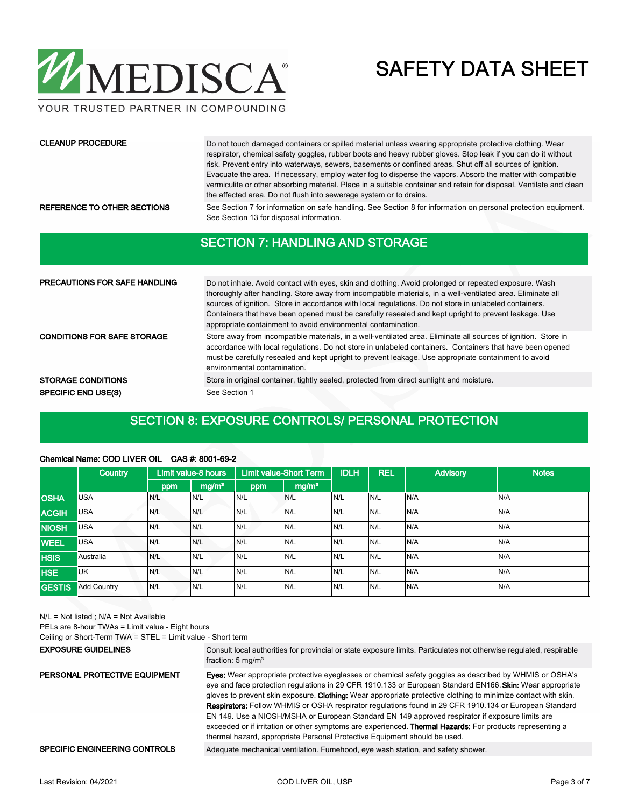

YOUR TRUSTED PARTNER IN COMPOUNDING

#### CLEANUP PROCEDURE

Do not touch damaged containers or spilled material unless wearing appropriate protective clothing. Wear respirator, chemical safety goggles, rubber boots and heavy rubber gloves. Stop leak if you can do it without risk. Prevent entry into waterways, sewers, basements or confined areas. Shut off all sources of ignition. Evacuate the area. If necessary, employ water fog to disperse the vapors. Absorb the matter with compatible vermiculite or other absorbing material. Place in a suitable container and retain for disposal. Ventilate and clean the affected area. Do not flush into sewerage system or to drains.

REFERENCE TO OTHER SECTIONS See Section 7 for information on safe handling. See Section 8 for information on personal protection equipment. See Section 13 for disposal information.

#### SECTION 7: HANDLING AND STORAGE

| <b>PRECAUTIONS FOR SAFE HANDLING</b> | Do not inhale. Avoid contact with eyes, skin and clothing. Avoid prolonged or repeated exposure. Wash<br>thoroughly after handling. Store away from incompatible materials, in a well-ventilated area. Eliminate all<br>sources of ignition. Store in accordance with local regulations. Do not store in unlabeled containers.<br>Containers that have been opened must be carefully resealed and kept upright to prevent leakage. Use<br>appropriate containment to avoid environmental contamination. |
|--------------------------------------|---------------------------------------------------------------------------------------------------------------------------------------------------------------------------------------------------------------------------------------------------------------------------------------------------------------------------------------------------------------------------------------------------------------------------------------------------------------------------------------------------------|
| <b>CONDITIONS FOR SAFE STORAGE</b>   | Store away from incompatible materials, in a well-ventilated area. Eliminate all sources of ignition. Store in<br>accordance with local regulations. Do not store in unlabeled containers. Containers that have been opened<br>must be carefully resealed and kept upright to prevent leakage. Use appropriate containment to avoid<br>environmental contamination.                                                                                                                                     |
| <b>STORAGE CONDITIONS</b>            | Store in original container, tightly sealed, protected from direct sunlight and moisture.                                                                                                                                                                                                                                                                                                                                                                                                               |
| <b>SPECIFIC END USE(S)</b>           | See Section 1                                                                                                                                                                                                                                                                                                                                                                                                                                                                                           |

#### SECTION 8: EXPOSURE CONTROLS/ PERSONAL PROTECTION

| Chemical Name: COD LIVER OIL CAS #: 8001-69-2 |  |
|-----------------------------------------------|--|
|-----------------------------------------------|--|

|               | <b>Country</b>     |     | <b>Limit value-Short Term</b><br>Limit value-8 hours |     |                   | <b>IDLH</b> | <b>REL</b> | <b>Advisory</b> | <b>Notes</b> |
|---------------|--------------------|-----|------------------------------------------------------|-----|-------------------|-------------|------------|-----------------|--------------|
|               |                    | ppm | mg/m <sup>3</sup>                                    | ppm | mg/m <sup>3</sup> |             |            |                 |              |
| <b>OSHA</b>   | <b>USA</b>         | N/L | N/L                                                  | N/L | N/L               | IN/L        | N/L        | N/A             | N/A          |
| <b>ACGIH</b>  | <b>USA</b>         | N/L | N/L                                                  | N/L | N/L               | IN/L        | N/L        | N/A             | N/A          |
| <b>NIOSH</b>  | <b>USA</b>         | N/L | N/L                                                  | N/L | N/L               | N/L         | N/L        | N/A             | N/A          |
| <b>WEEL</b>   | <b>USA</b>         | N/L | N/L                                                  | N/L | N/L               | N/L         | N/L        | N/A             | N/A          |
| <b>HSIS</b>   | Australia          | N/L | N/L                                                  | N/L | N/L               | N/L         | N/L        | N/A             | N/A          |
| <b>HSE</b>    | <b>UK</b>          | N/L | N/L                                                  | N/L | N/L               | N/L         | N/L        | N/A             | N/A          |
| <b>GESTIS</b> | <b>Add Country</b> | N/L | N/L                                                  | N/L | N/L               | IN/L        | N/L        | N/A             | N/A          |

N/L = Not listed ; N/A = Not Available

PELs are 8-hour TWAs = Limit value - Eight hours

Ceiling or Short-Term TWA = STEL = Limit value - Short term

#### EXPOSURE GUIDELINES

Consult local authorities for provincial or state exposure limits. Particulates not otherwise regulated, respirable fraction: 5 mg/m<sup>3</sup>

Eyes: Wear appropriate protective eyeglasses or chemical safety goggles as described by WHMIS or OSHA's eye and face protection regulations in 29 CFR 1910.133 or European Standard EN166. Skin: Wear appropriate gloves to prevent skin exposure. Clothing: Wear appropriate protective clothing to minimize contact with skin. Respirators: Follow WHMIS or OSHA respirator regulations found in 29 CFR 1910.134 or European Standard EN 149. Use a NIOSH/MSHA or European Standard EN 149 approved respirator if exposure limits are exceeded or if irritation or other symptoms are experienced. Thermal Hazards: For products representing a thermal hazard, appropriate Personal Protective Equipment should be used. PERSONAL PROTECTIVE EQUIPMENT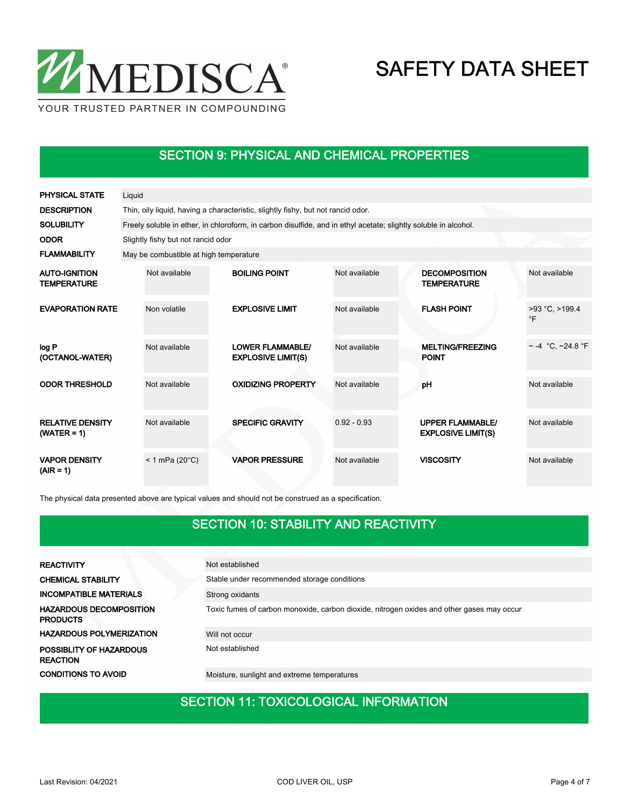

### SECTION 9: PHYSICAL AND CHEMICAL PROPERTIES

| <b>PHYSICAL STATE</b>                      | Liquid |                                                                                                                 |  |                                                      |               |  |                                                      |                                 |  |  |
|--------------------------------------------|--------|-----------------------------------------------------------------------------------------------------------------|--|------------------------------------------------------|---------------|--|------------------------------------------------------|---------------------------------|--|--|
| <b>DESCRIPTION</b>                         |        | Thin, oily liquid, having a characteristic, slightly fishy, but not rancid odor.                                |  |                                                      |               |  |                                                      |                                 |  |  |
| <b>SOLUBILITY</b>                          |        | Freely soluble in ether, in chloroform, in carbon disulfide, and in ethyl acetate; slightly soluble in alcohol. |  |                                                      |               |  |                                                      |                                 |  |  |
| <b>ODOR</b>                                |        | Slightly fishy but not rancid odor                                                                              |  |                                                      |               |  |                                                      |                                 |  |  |
| <b>FLAMMABILITY</b>                        |        | May be combustible at high temperature                                                                          |  |                                                      |               |  |                                                      |                                 |  |  |
| <b>AUTO-IGNITION</b><br><b>TEMPERATURE</b> |        | Not available                                                                                                   |  | <b>BOILING POINT</b>                                 | Not available |  | <b>DECOMPOSITION</b><br><b>TEMPERATURE</b>           | Not available                   |  |  |
| <b>EVAPORATION RATE</b>                    |        | Non volatile                                                                                                    |  | <b>EXPLOSIVE LIMIT</b>                               | Not available |  | <b>FLASH POINT</b>                                   | $>93$ °C, $>199.4$<br>$\circ$ F |  |  |
| log P<br>(OCTANOL-WATER)                   |        | Not available                                                                                                   |  | <b>LOWER FLAMMABLE/</b><br><b>EXPLOSIVE LIMIT(S)</b> | Not available |  | <b>MELTING/FREEZING</b><br><b>POINT</b>              | $\sim$ -4 °C, ~24.8 °F          |  |  |
| <b>ODOR THRESHOLD</b>                      |        | Not available                                                                                                   |  | <b>OXIDIZING PROPERTY</b>                            | Not available |  | pH                                                   | Not available                   |  |  |
| <b>RELATIVE DENSITY</b><br>$(WATER = 1)$   |        | Not available                                                                                                   |  | <b>SPECIFIC GRAVITY</b>                              | $0.92 - 0.93$ |  | <b>UPPER FLAMMABLE/</b><br><b>EXPLOSIVE LIMIT(S)</b> | Not available                   |  |  |
| <b>VAPOR DENSITY</b><br>$(AIR = 1)$        |        | $< 1$ mPa (20 $^{\circ}$ C)                                                                                     |  | <b>VAPOR PRESSURE</b>                                | Not available |  | <b>VISCOSITY</b>                                     | Not available                   |  |  |

The physical data presented above are typical values and should not be construed as a specification.

### SECTION 10: STABILITY AND REACTIVITY

| <b>REACTIVITY</b>                                 | Not established                                                                           |
|---------------------------------------------------|-------------------------------------------------------------------------------------------|
| <b>CHEMICAL STABILITY</b>                         | Stable under recommended storage conditions                                               |
| <b>INCOMPATIBLE MATERIALS</b>                     | Strong oxidants                                                                           |
| <b>HAZARDOUS DECOMPOSITION</b><br><b>PRODUCTS</b> | Toxic fumes of carbon monoxide, carbon dioxide, nitrogen oxides and other gases may occur |
| <b>HAZARDOUS POLYMERIZATION</b>                   | Will not occur                                                                            |
| POSSIBLITY OF HAZARDOUS<br><b>REACTION</b>        | Not established                                                                           |
| <b>CONDITIONS TO AVOID</b>                        | Moisture, sunlight and extreme temperatures                                               |

#### SECTION 11: TOXICOLOGICAL INFORMATION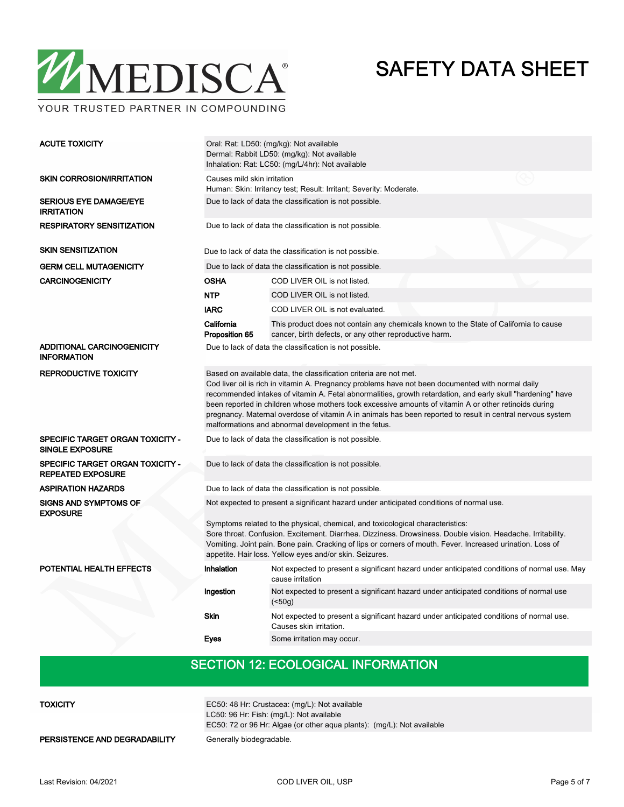

YOUR TRUSTED PARTNER IN COMPOUNDING

| <b>ACUTE TOXICITY</b>                                             | Oral: Rat: LD50: (mg/kg): Not available<br>Dermal: Rabbit LD50: (mg/kg): Not available<br>Inhalation: Rat: LC50: (mg/L/4hr): Not available                                                                                                                                                                                                                                                                                                                                                                                                                           |                                                                                                                                                 |  |  |  |  |
|-------------------------------------------------------------------|----------------------------------------------------------------------------------------------------------------------------------------------------------------------------------------------------------------------------------------------------------------------------------------------------------------------------------------------------------------------------------------------------------------------------------------------------------------------------------------------------------------------------------------------------------------------|-------------------------------------------------------------------------------------------------------------------------------------------------|--|--|--|--|
| <b>SKIN CORROSION/IRRITATION</b>                                  | Causes mild skin irritation<br>Human: Skin: Irritancy test; Result: Irritant; Severity: Moderate.                                                                                                                                                                                                                                                                                                                                                                                                                                                                    |                                                                                                                                                 |  |  |  |  |
| <b>SERIOUS EYE DAMAGE/EYE</b><br><b>IRRITATION</b>                | Due to lack of data the classification is not possible.                                                                                                                                                                                                                                                                                                                                                                                                                                                                                                              |                                                                                                                                                 |  |  |  |  |
| <b>RESPIRATORY SENSITIZATION</b>                                  | Due to lack of data the classification is not possible.                                                                                                                                                                                                                                                                                                                                                                                                                                                                                                              |                                                                                                                                                 |  |  |  |  |
| <b>SKIN SENSITIZATION</b>                                         |                                                                                                                                                                                                                                                                                                                                                                                                                                                                                                                                                                      | Due to lack of data the classification is not possible.                                                                                         |  |  |  |  |
| <b>GERM CELL MUTAGENICITY</b>                                     |                                                                                                                                                                                                                                                                                                                                                                                                                                                                                                                                                                      | Due to lack of data the classification is not possible.                                                                                         |  |  |  |  |
| <b>CARCINOGENICITY</b>                                            | <b>OSHA</b>                                                                                                                                                                                                                                                                                                                                                                                                                                                                                                                                                          | COD LIVER OIL is not listed.                                                                                                                    |  |  |  |  |
|                                                                   | <b>NTP</b>                                                                                                                                                                                                                                                                                                                                                                                                                                                                                                                                                           | COD LIVER OIL is not listed.                                                                                                                    |  |  |  |  |
|                                                                   | <b>IARC</b>                                                                                                                                                                                                                                                                                                                                                                                                                                                                                                                                                          | COD LIVER OIL is not evaluated.                                                                                                                 |  |  |  |  |
|                                                                   | California<br>Proposition 65                                                                                                                                                                                                                                                                                                                                                                                                                                                                                                                                         | This product does not contain any chemicals known to the State of California to cause<br>cancer, birth defects, or any other reproductive harm. |  |  |  |  |
| ADDITIONAL CARCINOGENICITY<br><b>INFORMATION</b>                  | Due to lack of data the classification is not possible.                                                                                                                                                                                                                                                                                                                                                                                                                                                                                                              |                                                                                                                                                 |  |  |  |  |
| <b>REPRODUCTIVE TOXICITY</b>                                      | Based on available data, the classification criteria are not met.<br>Cod liver oil is rich in vitamin A. Pregnancy problems have not been documented with normal daily<br>recommended intakes of vitamin A. Fetal abnormalities, growth retardation, and early skull "hardening" have<br>been reported in children whose mothers took excessive amounts of vitamin A or other retinoids during<br>pregnancy. Maternal overdose of vitamin A in animals has been reported to result in central nervous system<br>malformations and abnormal development in the fetus. |                                                                                                                                                 |  |  |  |  |
| <b>SPECIFIC TARGET ORGAN TOXICITY -</b><br><b>SINGLE EXPOSURE</b> | Due to lack of data the classification is not possible.                                                                                                                                                                                                                                                                                                                                                                                                                                                                                                              |                                                                                                                                                 |  |  |  |  |
| SPECIFIC TARGET ORGAN TOXICITY -<br><b>REPEATED EXPOSURE</b>      |                                                                                                                                                                                                                                                                                                                                                                                                                                                                                                                                                                      | Due to lack of data the classification is not possible.                                                                                         |  |  |  |  |
| <b>ASPIRATION HAZARDS</b>                                         | Due to lack of data the classification is not possible.                                                                                                                                                                                                                                                                                                                                                                                                                                                                                                              |                                                                                                                                                 |  |  |  |  |
| <b>SIGNS AND SYMPTOMS OF</b><br><b>EXPOSURE</b>                   | Not expected to present a significant hazard under anticipated conditions of normal use.                                                                                                                                                                                                                                                                                                                                                                                                                                                                             |                                                                                                                                                 |  |  |  |  |
|                                                                   | Symptoms related to the physical, chemical, and toxicological characteristics:<br>Sore throat. Confusion. Excitement. Diarrhea. Dizziness. Drowsiness. Double vision. Headache. Irritability.<br>Vomiting. Joint pain. Bone pain. Cracking of lips or corners of mouth. Fever. Increased urination. Loss of<br>appetite. Hair loss. Yellow eyes and/or skin. Seizures.                                                                                                                                                                                               |                                                                                                                                                 |  |  |  |  |
| POTENTIAL HEALTH EFFECTS                                          | Inhalation                                                                                                                                                                                                                                                                                                                                                                                                                                                                                                                                                           | Not expected to present a significant hazard under anticipated conditions of normal use. May<br>cause irritation                                |  |  |  |  |
|                                                                   | Ingestion                                                                                                                                                                                                                                                                                                                                                                                                                                                                                                                                                            | Not expected to present a significant hazard under anticipated conditions of normal use<br>( < 50g)                                             |  |  |  |  |
|                                                                   | <b>Skin</b>                                                                                                                                                                                                                                                                                                                                                                                                                                                                                                                                                          | Not expected to present a significant hazard under anticipated conditions of normal use.<br>Causes skin irritation.                             |  |  |  |  |
|                                                                   | Eyes                                                                                                                                                                                                                                                                                                                                                                                                                                                                                                                                                                 | Some irritation may occur.                                                                                                                      |  |  |  |  |

## SECTION 12: ECOLOGICAL INFORMATION

| <b>TOXICITY</b>               | EC50: 48 Hr: Crustacea: (mg/L): Not available<br>LC50: 96 Hr: Fish: (mg/L): Not available<br>EC50: 72 or 96 Hr: Algae (or other agua plants): (mg/L): Not available |
|-------------------------------|---------------------------------------------------------------------------------------------------------------------------------------------------------------------|
| PERSISTENCE AND DEGRADABILITY | Generally biodegradable.                                                                                                                                            |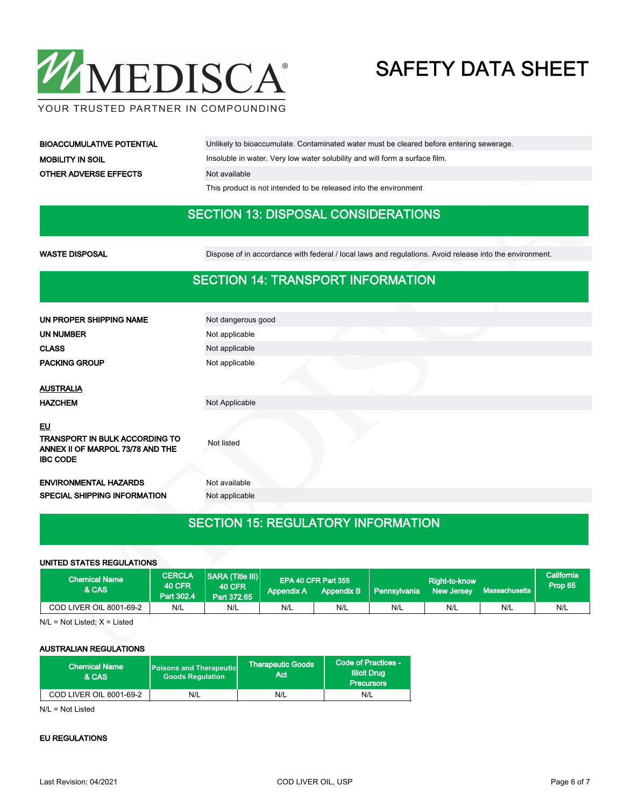

YOUR TRUSTED PARTNER IN COMPOUNDING

| <b>BIOACCUMULATIVE POTENTIAL</b> | Unlikely to bioaccumulate. Contaminated water must be cleared before entering sewerage. |
|----------------------------------|-----------------------------------------------------------------------------------------|
| <b>MOBILITY IN SOIL</b>          | Insoluble in water. Very low water solubility and will form a surface film.             |
| <b>OTHER ADVERSE EFFECTS</b>     | Not available                                                                           |
|                                  | This product is not intended to be released into the environment                        |

#### SECTION 13: DISPOSAL CONSIDERATIONS

WASTE DISPOSAL **Dispose of in accordance with federal / local laws and regulations**. Avoid release into the environment.

#### SECTION 14: TRANSPORT INFORMATION

| UN PROPER SHIPPING NAME                                                                            | Not dangerous good |
|----------------------------------------------------------------------------------------------------|--------------------|
| UN NUMBER                                                                                          | Not applicable     |
| <b>CLASS</b>                                                                                       | Not applicable     |
| <b>PACKING GROUP</b>                                                                               | Not applicable     |
|                                                                                                    |                    |
| <b>AUSTRALIA</b>                                                                                   |                    |
| <b>HAZCHEM</b>                                                                                     | Not Applicable     |
| <b>EU</b><br>TRANSPORT IN BULK ACCORDING TO<br>ANNEX II OF MARPOL 73/78 AND THE<br><b>IBC CODE</b> | Not listed         |
| <b>ENVIRONMENTAL HAZARDS</b>                                                                       | Not available      |
| SPECIAL SHIPPING INFORMATION                                                                       | Not applicable     |
|                                                                                                    |                    |

### SECTION 15: REGULATORY INFORMATION

#### UNITED STATES REGULATIONS

| <b>Chemical Name</b><br>& CAS | <b>CERCLA</b><br><b>40 CFR</b><br>Part 302.4 | <b>SARA (Title III)</b><br>40 CFR.<br>Part 372.65 | <b>Appendix A</b> | EPA 40 CFR Part 355<br><b>Appendix B</b> | Pennsylvania | Right-to-know<br><b>New Jersey</b> | Massachusetts | lCalifornia <sup>1</sup><br>Prop 65 |
|-------------------------------|----------------------------------------------|---------------------------------------------------|-------------------|------------------------------------------|--------------|------------------------------------|---------------|-------------------------------------|
| COD LIVER OIL 8001-69-2       | N/L                                          | N/L                                               | N/L               | N/L                                      | N/L          | N/L                                | N/L           | N/L                                 |

N/L = Not Listed; X = Listed

#### AUSTRALIAN REGULATIONS

| <b>Chemical Name</b><br>& CAS  | <b>Poisons and Therapeutic</b><br><b>Goods Regulation</b> | <b>Therapeutic Goods</b><br>Act | Code of Practices -<br><b>Illicit Drug</b><br><b>Precursors</b> |  |
|--------------------------------|-----------------------------------------------------------|---------------------------------|-----------------------------------------------------------------|--|
| <b>COD LIVER OIL 8001-69-2</b> | N/L                                                       | N/L                             | N/L                                                             |  |

N/L = Not Listed

#### EU REGULATIONS